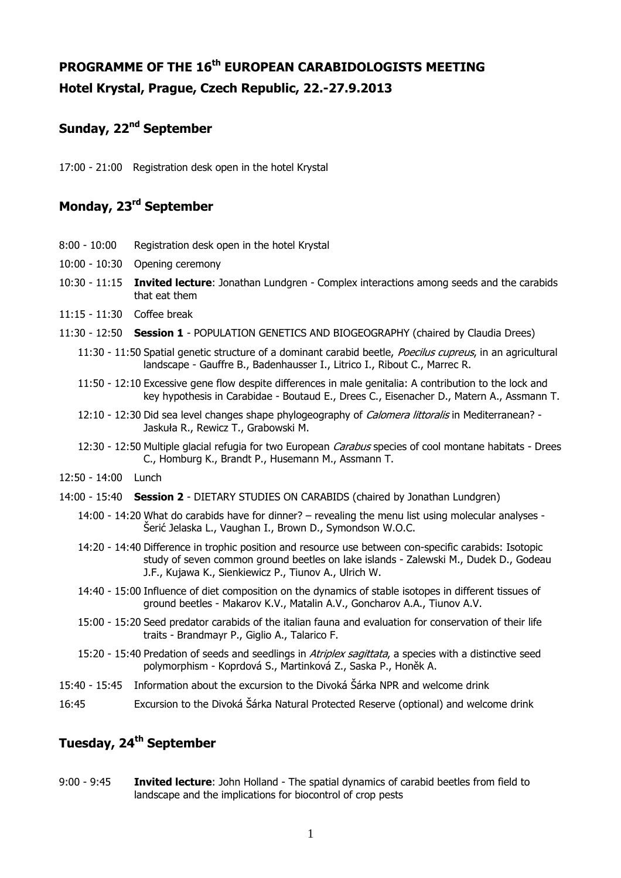# **PROGRAMME OF THE 16th EUROPEAN CARABIDOLOGISTS MEETING Hotel Krystal, Prague, Czech Republic, 22.-27.9.2013**

#### **Sunday, 22nd September**

17:00 - 21:00 Registration desk open in the hotel Krystal

## **Monday, 23rd September**

- 8:00 10:00 Registration desk open in the hotel Krystal
- 10:00 10:30 Opening ceremony
- 10:30 11:15 **Invited lecture**: Jonathan Lundgren Complex interactions among seeds and the carabids that eat them
- 11:15 11:30 Coffee break
- 11:30 12:50 **Session 1** POPULATION GENETICS AND BIOGEOGRAPHY (chaired by Claudia Drees)
	- 11:30 11:50 Spatial genetic structure of a dominant carabid beetle, Poecilus cupreus, in an agricultural landscape - Gauffre B., Badenhausser I., Litrico I., Ribout C., Marrec R.
	- 11:50 12:10 Excessive gene flow despite differences in male genitalia: A contribution to the lock and key hypothesis in Carabidae - Boutaud E., Drees C., Eisenacher D., Matern A., Assmann T.
	- 12:10 12:30 Did sea level changes shape phylogeography of Calomera littoralis in Mediterranean? -Jaskuła R., Rewicz T., Grabowski M.
	- 12:30 12:50 Multiple glacial refugia for two European Carabus species of cool montane habitats Drees C., Homburg K., Brandt P., Husemann M., Assmann T.
- 12:50 14:00 Lunch
- 14:00 15:40 **Session 2** DIETARY STUDIES ON CARABIDS (chaired by Jonathan Lundgren)
	- 14:00 14:20 What do carabids have for dinner? revealing the menu list using molecular analyses Šerić Jelaska L., Vaughan I., Brown D., Symondson W.O.C.
	- 14:20 14:40 Difference in trophic position and resource use between con-specific carabids: Isotopic study of seven common ground beetles on lake islands - Zalewski M., Dudek D., Godeau J.F., Kujawa K., Sienkiewicz P., Tiunov A., Ulrich W.
	- 14:40 15:00 Influence of diet composition on the dynamics of stable isotopes in different tissues of ground beetles - Makarov K.V., Matalin A.V., Goncharov A.A., Tiunov A.V.
	- 15:00 15:20 Seed predator carabids of the italian fauna and evaluation for conservation of their life traits - Brandmayr P., Giglio A., Talarico F.
	- 15:20 15:40 Predation of seeds and seedlings in Atriplex sagittata, a species with a distinctive seed polymorphism - Koprdová S., Martinková Z., Saska P., Honěk A.
- 15:40 15:45 Information about the excursion to the Divoká Šárka NPR and welcome drink
- 16:45 Excursion to the Divoká Šárka Natural Protected Reserve (optional) and welcome drink

## **Tuesday, 24th September**

9:00 - 9:45 **Invited lecture**: John Holland - The spatial dynamics of carabid beetles from field to landscape and the implications for biocontrol of crop pests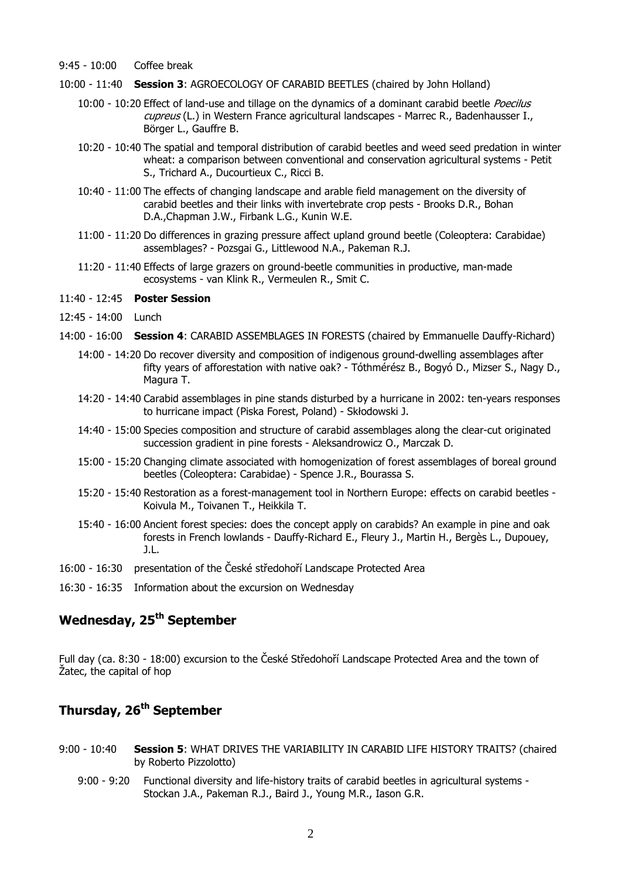- 9:45 10:00 Coffee break
- 10:00 11:40 **Session 3**: AGROECOLOGY OF CARABID BEETLES (chaired by John Holland)
	- 10:00 10:20 Effect of land-use and tillage on the dynamics of a dominant carabid beetle Poecilus cupreus (L.) in Western France agricultural landscapes - Marrec R., Badenhausser I., Börger L., Gauffre B.
	- 10:20 10:40 The spatial and temporal distribution of carabid beetles and weed seed predation in winter wheat: a comparison between conventional and conservation agricultural systems - Petit S., Trichard A., Ducourtieux C., Ricci B.
	- 10:40 11:00 The effects of changing landscape and arable field management on the diversity of carabid beetles and their links with invertebrate crop pests - Brooks D.R., Bohan D.A.,Chapman J.W., Firbank L.G., Kunin W.E.
	- 11:00 11:20 Do differences in grazing pressure affect upland ground beetle (Coleoptera: Carabidae) assemblages? - Pozsgai G., Littlewood N.A., Pakeman R.J.
	- 11:20 11:40 Effects of large grazers on ground-beetle communities in productive, man-made ecosystems - van Klink R., Vermeulen R., Smit C.
- 11:40 12:45 **Poster Session**
- 12:45 14:00 Lunch
- 14:00 16:00 **Session 4**: CARABID ASSEMBLAGES IN FORESTS (chaired by Emmanuelle Dauffy-Richard)
	- 14:00 14:20 Do recover diversity and composition of indigenous ground-dwelling assemblages after fifty years of afforestation with native oak? - Tóthmérész B., Bogyó D., Mizser S., Nagy D., Magura T.
	- 14:20 14:40 Carabid assemblages in pine stands disturbed by a hurricane in 2002: ten-years responses to hurricane impact (Piska Forest, Poland) - Skłodowski J.
	- 14:40 15:00 Species composition and structure of carabid assemblages along the clear-cut originated succession gradient in pine forests - Aleksandrowicz O., Marczak D.
	- 15:00 15:20 Changing climate associated with homogenization of forest assemblages of boreal ground beetles (Coleoptera: Carabidae) - Spence J.R., Bourassa S.
	- 15:20 15:40 Restoration as a forest-management tool in Northern Europe: effects on carabid beetles Koivula M., Toivanen T., Heikkila T.
	- 15:40 16:00 Ancient forest species: does the concept apply on carabids? An example in pine and oak forests in French lowlands - Dauffy-Richard E., Fleury J., Martin H., Bergès L., Dupouey, J.L.
- 16:00 16:30 presentation of the České středohoří Landscape Protected Area
- 16:30 16:35 Information about the excursion on Wednesday

#### **Wednesday, 25th September**

Full day (ca. 8:30 - 18:00) excursion to the České Středohoří Landscape Protected Area and the town of Žatec, the capital of hop

## **Thursday, 26th September**

- 9:00 10:40 **Session 5**: WHAT DRIVES THE VARIABILITY IN CARABID LIFE HISTORY TRAITS? (chaired by Roberto Pizzolotto)
	- 9:00 9:20 Functional diversity and life-history traits of carabid beetles in agricultural systems Stockan J.A., Pakeman R.J., Baird J., Young M.R., Iason G.R.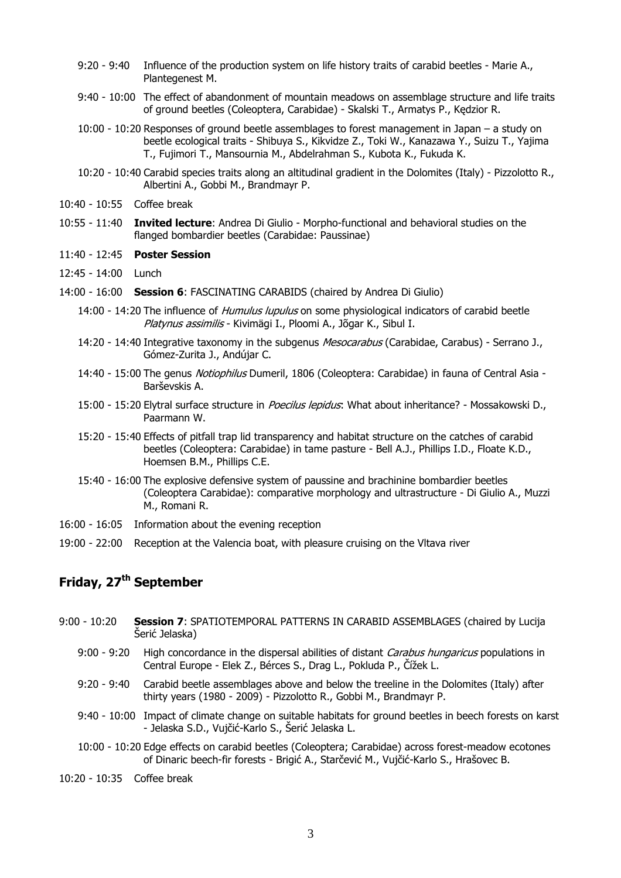- 9:20 9:40 Influence of the production system on life history traits of carabid beetles Marie A., Plantegenest M.
- 9:40 10:00 The effect of abandonment of mountain meadows on assemblage structure and life traits of ground beetles (Coleoptera, Carabidae) - Skalski T., Armatys P., Kędzior R.
- 10:00 10:20 Responses of ground beetle assemblages to forest management in Japan a study on beetle ecological traits - Shibuya S., Kikvidze Z., Toki W., Kanazawa Y., Suizu T., Yajima T., Fujimori T., Mansournia M., Abdelrahman S., Kubota K., Fukuda K.
- 10:20 10:40 Carabid species traits along an altitudinal gradient in the Dolomites (Italy) Pizzolotto R., Albertini A., Gobbi M., Brandmayr P.
- 10:40 10:55 Coffee break
- 10:55 11:40 **Invited lecture**: Andrea Di Giulio Morpho-functional and behavioral studies on the flanged bombardier beetles (Carabidae: Paussinae)
- 11:40 12:45 **Poster Session**
- 12:45 14:00 Lunch
- 14:00 16:00 **Session 6**: FASCINATING CARABIDS (chaired by Andrea Di Giulio)
	- 14:00 14:20 The influence of *Humulus lupulus* on some physiological indicators of carabid beetle Platynus assimilis - Kivimägi I., Ploomi A., Jõgar K., Sibul I.
	- 14:20 14:40 Integrative taxonomy in the subgenus *Mesocarabus* (Carabidae, Carabus) Serrano J., Gómez-Zurita J., Andújar C.
	- 14:40 15:00 The genus *Notiophilus* Dumeril, 1806 (Coleoptera: Carabidae) in fauna of Central Asia -Barševskis A.
	- 15:00 15:20 Elytral surface structure in Poecilus lepidus: What about inheritance? Mossakowski D., Paarmann W.
	- 15:20 15:40 Effects of pitfall trap lid transparency and habitat structure on the catches of carabid beetles (Coleoptera: Carabidae) in tame pasture - Bell A.J., Phillips I.D., Floate K.D., Hoemsen B.M., Phillips C.E.
	- 15:40 16:00 The explosive defensive system of paussine and brachinine bombardier beetles (Coleoptera Carabidae): comparative morphology and ultrastructure - Di Giulio A., Muzzi M., Romani R.
- 16:00 16:05 Information about the evening reception
- 19:00 22:00 Reception at the Valencia boat, with pleasure cruising on the Vltava river

## **Friday, 27th September**

- 9:00 10:20 **Session 7**: SPATIOTEMPORAL PATTERNS IN CARABID ASSEMBLAGES (chaired by Lucija Šerić Jelaska)
	- 9:00 9:20 High concordance in the dispersal abilities of distant *Carabus hungaricus* populations in Central Europe - Elek Z., Bérces S., Drag L., Pokluda P., Čížek L.
	- 9:20 9:40 Carabid beetle assemblages above and below the treeline in the Dolomites (Italy) after thirty years (1980 - 2009) - Pizzolotto R., Gobbi M., Brandmayr P.
	- 9:40 10:00 Impact of climate change on suitable habitats for ground beetles in beech forests on karst - Jelaska S.D., Vujčić-Karlo S., Šerić Jelaska L.
	- 10:00 10:20 Edge effects on carabid beetles (Coleoptera; Carabidae) across forest-meadow ecotones of Dinaric beech-fir forests - Brigić A., Starčević M., Vujčić-Karlo S., Hrašovec B.

10:20 - 10:35 Coffee break